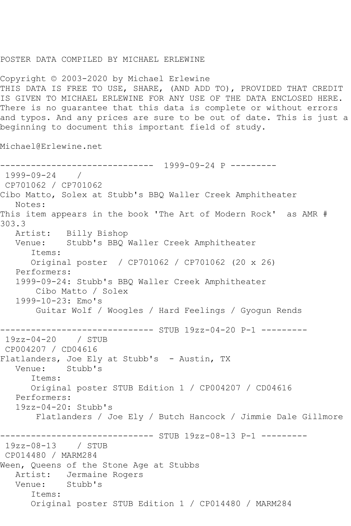## POSTER DATA COMPILED BY MICHAEL ERLEWINE

Copyright © 2003-2020 by Michael Erlewine THIS DATA IS FREE TO USE, SHARE, (AND ADD TO), PROVIDED THAT CREDIT IS GIVEN TO MICHAEL ERLEWINE FOR ANY USE OF THE DATA ENCLOSED HERE. There is no guarantee that this data is complete or without errors and typos. And any prices are sure to be out of date. This is just a beginning to document this important field of study.

Michael@Erlewine.net

------------------------------ 1999-09-24 P --------- 1999-09-24 / CP701062 / CP701062 Cibo Matto, Solex at Stubb's BBQ Waller Creek Amphitheater Notes: This item appears in the book 'The Art of Modern Rock' as AMR # 303.3<br>: Artist Billy Bishop Venue: Stubb's BBQ Waller Creek Amphitheater Items: Original poster / CP701062 / CP701062 (20 x 26) Performers: 1999-09-24: Stubb's BBQ Waller Creek Amphitheater Cibo Matto / Solex 1999-10-23: Emo's Guitar Wolf / Woogles / Hard Feelings / Gyogun Rends ------------- STUB 19zz-04-20 P-1 ---------19zz-04-20 / STUB CP004207 / CD04616 Flatlanders, Joe Ely at Stubb's - Austin, TX<br>Venue: Stubb's Stubb's Items: Original poster STUB Edition 1 / CP004207 / CD04616 Performers: 19zz-04-20: Stubb's Flatlanders / Joe Ely / Butch Hancock / Jimmie Dale Gillmore ------------------------------ STUB 19zz-08-13 P-1 --------- 19zz-08-13 / STUB CP014480 / MARM284 Ween, Queens of the Stone Age at Stubbs Artist: Jermaine Rogers Venue: Stubb's Items: Original poster STUB Edition 1 / CP014480 / MARM284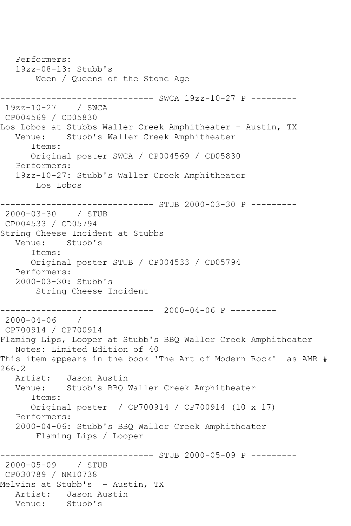```
 Performers:
   19zz-08-13: Stubb's
       Ween / Queens of the Stone Age
------------------------------ SWCA 19zz-10-27 P ---------
19zz-10-27 / SWCA 
CP004569 / CD05830
Los Lobos at Stubbs Waller Creek Amphitheater - Austin, TX
   Venue: Stubb's Waller Creek Amphitheater
       Items:
       Original poster SWCA / CP004569 / CD05830
   Performers:
   19zz-10-27: Stubb's Waller Creek Amphitheater
       Los Lobos
----------------------------- STUB 2000-03-30 P ---------
2000-03-30 / STUB 
CP004533 / CD05794
String Cheese Incident at Stubbs
   Venue: Stubb's
       Items:
       Original poster STUB / CP004533 / CD05794
   Performers:
   2000-03-30: Stubb's
        String Cheese Incident
------------------------------ 2000-04-06 P ---------
2000-04-06 / 
CP700914 / CP700914
Flaming Lips, Looper at Stubb's BBQ Waller Creek Amphitheater
   Notes: Limited Edition of 40
This item appears in the book 'The Art of Modern Rock' as AMR # 
266.2
   Artist: Jason Austin
   Venue: Stubb's BBQ Waller Creek Amphitheater
      Items:
      Original poster / CP700914 / CP700914 (10 x 17)
   Performers:
   2000-04-06: Stubb's BBQ Waller Creek Amphitheater
        Flaming Lips / Looper
------------------------------ STUB 2000-05-09 P ---------
2000-05-09 / STUB 
CP030789 / NM10738
Melvins at Stubb's - Austin, TX
  Artist: Jason Austin<br>Venue: Stubb's
           Stubb's
```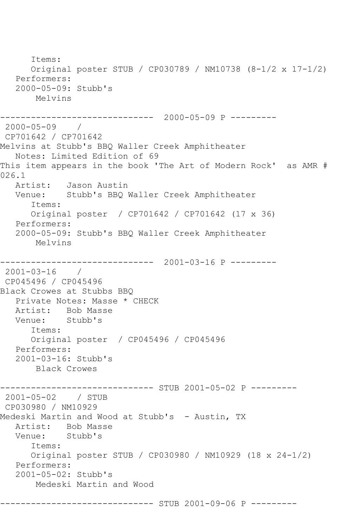Items: Original poster STUB / CP030789 / NM10738 (8-1/2 x 17-1/2) Performers: 2000-05-09: Stubb's Melvins ------------------------------ 2000-05-09 P --------- 2000-05-09 / CP701642 / CP701642 Melvins at Stubb's BBQ Waller Creek Amphitheater Notes: Limited Edition of 69 This item appears in the book 'The Art of Modern Rock' as AMR # 026.1 Artist: Jason Austin Venue: Stubb's BBQ Waller Creek Amphitheater Items: Original poster / CP701642 / CP701642 (17 x 36) Performers: 2000-05-09: Stubb's BBQ Waller Creek Amphitheater Melvins ------------------------------ 2001-03-16 P ---------  $2001 - 03 - 16$  / CP045496 / CP045496 Black Crowes at Stubbs BBQ Private Notes: Masse \* CHECK Artist: Bob Masse Venue: Stubb's Items: Original poster / CP045496 / CP045496 Performers: 2001-03-16: Stubb's Black Crowes ---------- STUB 2001-05-02 P ---------2001-05-02 / STUB CP030980 / NM10929 Medeski Martin and Wood at Stubb's - Austin, TX Artist: Bob Masse<br>Venue: Stubb's Stubb's Items: Original poster STUB / CP030980 / NM10929 (18 x 24-1/2) Performers: 2001-05-02: Stubb's Medeski Martin and Wood ------------------------------ STUB 2001-09-06 P ---------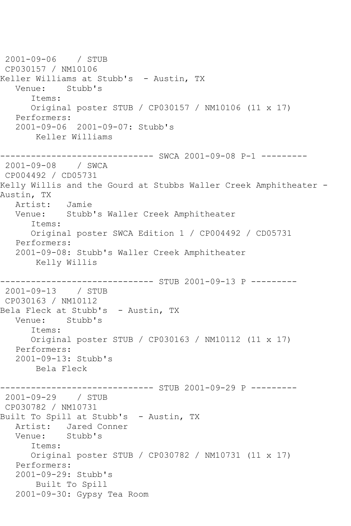2001-09-06 / STUB CP030157 / NM10106 Keller Williams at Stubb's - Austin, TX Venue: Stubb's Items: Original poster STUB / CP030157 / NM10106 (11 x 17) Performers: 2001-09-06 2001-09-07: Stubb's Keller Williams ------------------------------ SWCA 2001-09-08 P-1 --------- 2001-09-08 / SWCA CP004492 / CD05731 Kelly Willis and the Gourd at Stubbs Waller Creek Amphitheater - Austin, TX Artist: Jamie Venue: Stubb's Waller Creek Amphitheater Items: Original poster SWCA Edition 1 / CP004492 / CD05731 Performers: 2001-09-08: Stubb's Waller Creek Amphitheater Kelly Willis ------------------------------ STUB 2001-09-13 P --------- 2001-09-13 / STUB CP030163 / NM10112 Bela Fleck at Stubb's - Austin, TX Venue: Stubb's Items: Original poster STUB / CP030163 / NM10112 (11 x 17) Performers: 2001-09-13: Stubb's Bela Fleck --------- STUB 2001-09-29 P ---------2001-09-29 / STUB CP030782 / NM10731 Built To Spill at Stubb's - Austin, TX Artist: Jared Conner<br>Venue: Stubb's Stubb's Items: Original poster STUB / CP030782 / NM10731 (11 x 17) Performers: 2001-09-29: Stubb's Built To Spill 2001-09-30: Gypsy Tea Room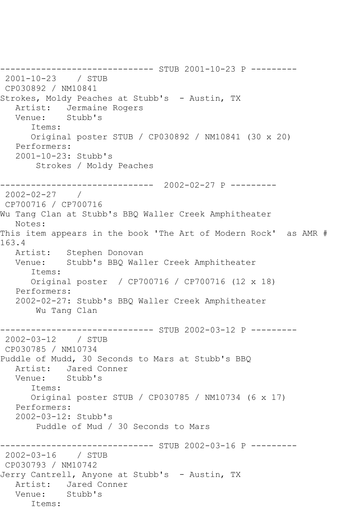------------------------------ STUB 2001-10-23 P --------- 2001-10-23 / STUB CP030892 / NM10841 Strokes, Moldy Peaches at Stubb's - Austin, TX Artist: Jermaine Rogers<br>Venue: Stubb's Stubb's Items: Original poster STUB / CP030892 / NM10841 (30 x 20) Performers: 2001-10-23: Stubb's Strokes / Moldy Peaches ------------------------------ 2002-02-27 P --------- 2002-02-27 / CP700716 / CP700716 Wu Tang Clan at Stubb's BBQ Waller Creek Amphitheater Notes: This item appears in the book 'The Art of Modern Rock' as AMR # 163.4 Artist: Stephen Donovan Venue: Stubb's BBQ Waller Creek Amphitheater Items: Original poster / CP700716 / CP700716 (12 x 18) Performers: 2002-02-27: Stubb's BBQ Waller Creek Amphitheater Wu Tang Clan ------------------------------ STUB 2002-03-12 P --------- 2002-03-12 / STUB CP030785 / NM10734 Puddle of Mudd, 30 Seconds to Mars at Stubb's BBQ Artist: Jared Conner<br>Venue: Stubb's Stubb's Items: Original poster STUB / CP030785 / NM10734 (6 x 17) Performers: 2002-03-12: Stubb's Puddle of Mud / 30 Seconds to Mars ----------- STUB 2002-03-16 P ---------2002-03-16 / STUB CP030793 / NM10742 Jerry Cantrell, Anyone at Stubb's - Austin, TX Artist: Jared Conner Venue: Stubb's Items: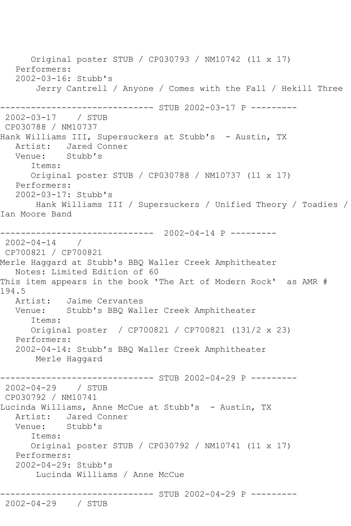Original poster STUB / CP030793 / NM10742 (11 x 17) Performers: 2002-03-16: Stubb's Jerry Cantrell / Anyone / Comes with the Fall / Hekill Three ------------- STUB 2002-03-17 P ---------2002-03-17 / STUB CP030788 / NM10737 Hank Williams III, Supersuckers at Stubb's - Austin, TX Artist: Jared Conner<br>Venue: Stubb's Stubb's Items: Original poster STUB / CP030788 / NM10737 (11 x 17) Performers: 2002-03-17: Stubb's Hank Williams III / Supersuckers / Unified Theory / Toadies / Ian Moore Band ------------------------------ 2002-04-14 P --------- 2002-04-14 / CP700821 / CP700821 Merle Haggard at Stubb's BBQ Waller Creek Amphitheater Notes: Limited Edition of 60 This item appears in the book 'The Art of Modern Rock' as AMR # 194.5 Artist: Jaime Cervantes Venue: Stubb's BBQ Waller Creek Amphitheater Items: Original poster / CP700821 / CP700821 (131/2 x 23) Performers: 2002-04-14: Stubb's BBQ Waller Creek Amphitheater Merle Haggard ------------------------------ STUB 2002-04-29 P --------- 2002-04-29 / STUB CP030792 / NM10741 Lucinda Williams, Anne McCue at Stubb's - Austin, TX Artist: Jared Conner Venue: Stubb's Items: Original poster STUB / CP030792 / NM10741 (11 x 17) Performers: 2002-04-29: Stubb's Lucinda Williams / Anne McCue ------------------------------ STUB 2002-04-29 P --------- 2002-04-29 / STUB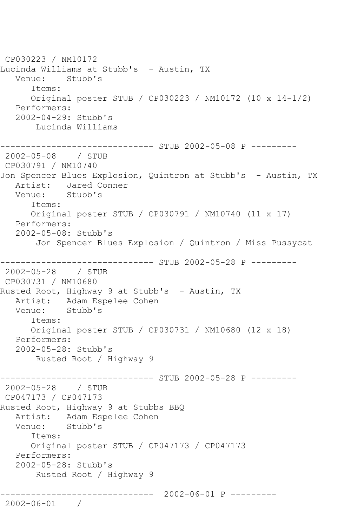CP030223 / NM10172 Lucinda Williams at Stubb's - Austin, TX Venue: Stubb's Items: Original poster STUB / CP030223 / NM10172 (10 x 14-1/2) Performers: 2002-04-29: Stubb's Lucinda Williams ------------------------------ STUB 2002-05-08 P --------- 2002-05-08 / STUB CP030791 / NM10740 Jon Spencer Blues Explosion, Quintron at Stubb's - Austin, TX Artist: Jared Conner<br>Venue: Stubb's Venue: Items: Original poster STUB / CP030791 / NM10740 (11 x 17) Performers: 2002-05-08: Stubb's Jon Spencer Blues Explosion / Quintron / Miss Pussycat ------------ STUB 2002-05-28 P ---------2002-05-28 / STUB CP030731 / NM10680 Rusted Root, Highway 9 at Stubb's - Austin, TX Artist: Adam Espelee Cohen<br>Venue: Stubb's Stubb's Items: Original poster STUB / CP030731 / NM10680 (12 x 18) Performers: 2002-05-28: Stubb's Rusted Root / Highway 9 ------------------------------ STUB 2002-05-28 P --------- 2002-05-28 / STUB CP047173 / CP047173 Rusted Root, Highway 9 at Stubbs BBQ Artist: Adam Espelee Cohen Venue: Stubb's Items: Original poster STUB / CP047173 / CP047173 Performers: 2002-05-28: Stubb's Rusted Root / Highway 9 ------------------------------ 2002-06-01 P --------- 2002-06-01 /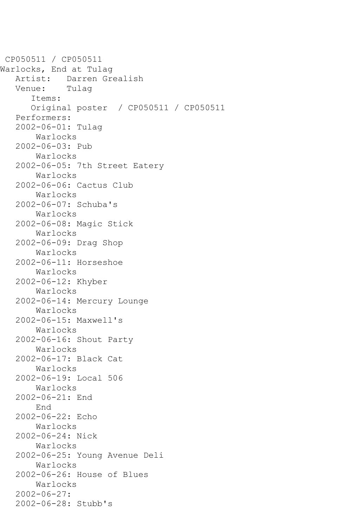```
CP050511 / CP050511
Warlocks, End at Tulag
   Artist: Darren Grealish<br>Venue: Tulaq
   Venue:
       Items:
       Original poster / CP050511 / CP050511
    Performers:
    2002-06-01: Tulag
        Warlocks
    2002-06-03: Pub
        Warlocks
    2002-06-05: 7th Street Eatery
        Warlocks
    2002-06-06: Cactus Club
        Warlocks
    2002-06-07: Schuba's
        Warlocks
    2002-06-08: Magic Stick
        Warlocks
    2002-06-09: Drag Shop
        Warlocks
    2002-06-11: Horseshoe
        Warlocks
    2002-06-12: Khyber
        Warlocks
    2002-06-14: Mercury Lounge
        Warlocks
    2002-06-15: Maxwell's
        Warlocks
    2002-06-16: Shout Party
        Warlocks
    2002-06-17: Black Cat
        Warlocks
    2002-06-19: Local 506
        Warlocks
    2002-06-21: End
        End
    2002-06-22: Echo
        Warlocks
    2002-06-24: Nick
        Warlocks
    2002-06-25: Young Avenue Deli
        Warlocks
    2002-06-26: House of Blues
        Warlocks
    2002-06-27:
    2002-06-28: Stubb's
```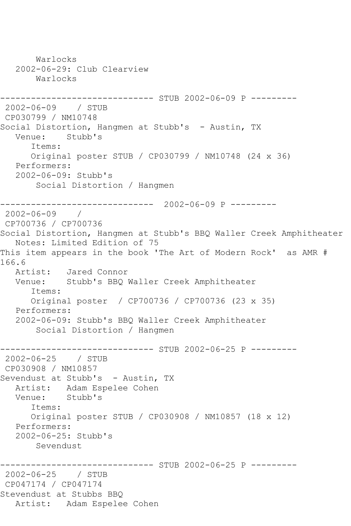Warlocks 2002-06-29: Club Clearview Warlocks ------------------------------ STUB 2002-06-09 P --------- 2002-06-09 / STUB CP030799 / NM10748 Social Distortion, Hangmen at Stubb's - Austin, TX Venue: Stubb's Items: Original poster STUB / CP030799 / NM10748 (24 x 36) Performers: 2002-06-09: Stubb's Social Distortion / Hangmen ------------------------------ 2002-06-09 P --------- 2002-06-09 / CP700736 / CP700736 Social Distortion, Hangmen at Stubb's BBQ Waller Creek Amphitheater Notes: Limited Edition of 75 This item appears in the book 'The Art of Modern Rock' as AMR # 166.6 Artist: Jared Connor Venue: Stubb's BBQ Waller Creek Amphitheater Items: Original poster / CP700736 / CP700736 (23 x 35) Performers: 2002-06-09: Stubb's BBQ Waller Creek Amphitheater Social Distortion / Hangmen ---------- STUB 2002-06-25 P ---------2002-06-25 / STUB CP030908 / NM10857 Sevendust at Stubb's - Austin, TX Artist: Adam Espelee Cohen Venue: Stubb's Items: Original poster STUB / CP030908 / NM10857 (18 x 12) Performers: 2002-06-25: Stubb's Sevendust ------------------------------ STUB 2002-06-25 P --------- 2002-06-25 / STUB CP047174 / CP047174 Stevendust at Stubbs BBQ Artist: Adam Espelee Cohen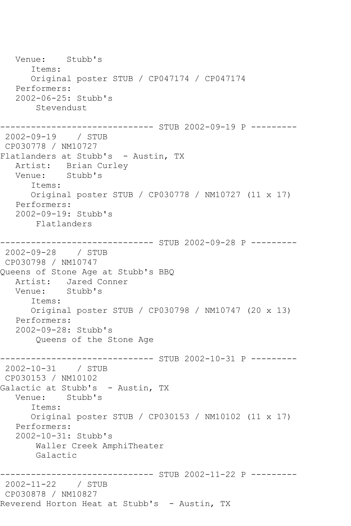Venue: Stubb's Items: Original poster STUB / CP047174 / CP047174 Performers: 2002-06-25: Stubb's Stevendust ------------------------------ STUB 2002-09-19 P --------- 2002-09-19 / STUB CP030778 / NM10727 Flatlanders at Stubb's - Austin, TX Artist: Brian Curley Venue: Stubb's Items: Original poster STUB / CP030778 / NM10727 (11 x 17) Performers: 2002-09-19: Stubb's Flatlanders ------------------------------ STUB 2002-09-28 P --------- 2002-09-28 / STUB CP030798 / NM10747 Queens of Stone Age at Stubb's BBQ Artist: Jared Conner Venue: Stubb's Items: Original poster STUB / CP030798 / NM10747 (20 x 13) Performers: 2002-09-28: Stubb's Queens of the Stone Age ------------------------------ STUB 2002-10-31 P --------- 2002-10-31 / STUB CP030153 / NM10102 Galactic at Stubb's - Austin, TX Venue: Stubb's Items: Original poster STUB / CP030153 / NM10102 (11 x 17) Performers: 2002-10-31: Stubb's Waller Creek AmphiTheater Galactic ------------------------------ STUB 2002-11-22 P --------- 2002-11-22 / STUB CP030878 / NM10827 Reverend Horton Heat at Stubb's - Austin, TX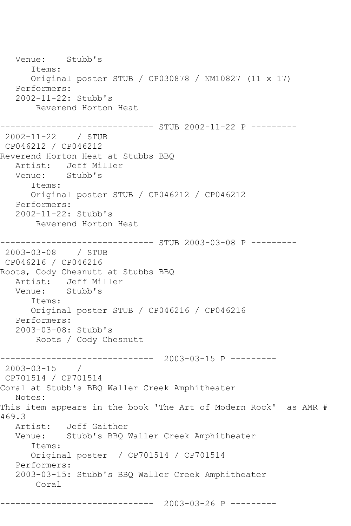Venue: Stubb's Items: Original poster STUB / CP030878 / NM10827 (11 x 17) Performers: 2002-11-22: Stubb's Reverend Horton Heat ------------------------------ STUB 2002-11-22 P --------- 2002-11-22 / STUB CP046212 / CP046212 Reverend Horton Heat at Stubbs BBQ Artist: Jeff Miller<br>Venue: Stubb's Stubb's Items: Original poster STUB / CP046212 / CP046212 Performers: 2002-11-22: Stubb's Reverend Horton Heat ------------------------------ STUB 2003-03-08 P --------- 2003-03-08 / STUB CP046216 / CP046216 Roots, Cody Chesnutt at Stubbs BBQ Artist: Jeff Miller Venue: Stubb's Items: Original poster STUB / CP046216 / CP046216 Performers: 2003-03-08: Stubb's Roots / Cody Chesnutt ------------------------------ 2003-03-15 P --------- 2003-03-15 / CP701514 / CP701514 Coral at Stubb's BBQ Waller Creek Amphitheater Notes: This item appears in the book 'The Art of Modern Rock' as AMR # 469.3 Artist: Jeff Gaither Venue: Stubb's BBQ Waller Creek Amphitheater Items: Original poster / CP701514 / CP701514 Performers: 2003-03-15: Stubb's BBQ Waller Creek Amphitheater Coral ------------------------------ 2003-03-26 P ---------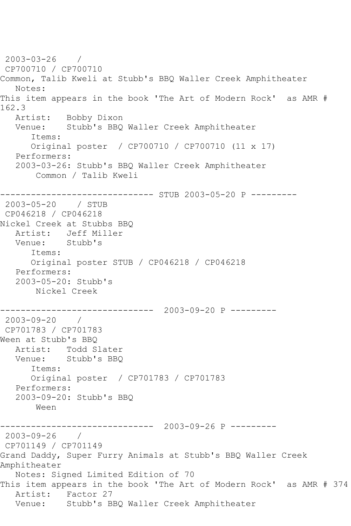2003-03-26 / CP700710 / CP700710 Common, Talib Kweli at Stubb's BBQ Waller Creek Amphitheater Notes: This item appears in the book 'The Art of Modern Rock' as AMR # 162.3 Artist: Bobby Dixon Venue: Stubb's BBQ Waller Creek Amphitheater Items: Original poster / CP700710 / CP700710 (11 x 17) Performers: 2003-03-26: Stubb's BBQ Waller Creek Amphitheater Common / Talib Kweli ------------------------------ STUB 2003-05-20 P --------- 2003-05-20 / STUB CP046218 / CP046218 Nickel Creek at Stubbs BBQ Artist: Jeff Miller<br>Venue: Stubb's Stubb's Items: Original poster STUB / CP046218 / CP046218 Performers: 2003-05-20: Stubb's Nickel Creek ------------------------------ 2003-09-20 P --------- 2003-09-20 / CP701783 / CP701783 Ween at Stubb's BBQ Artist: Todd Slater Venue: Stubb's BBQ Items: Original poster / CP701783 / CP701783 Performers: 2003-09-20: Stubb's BBQ Ween ------------------------------ 2003-09-26 P --------- 2003-09-26 / CP701149 / CP701149 Grand Daddy, Super Furry Animals at Stubb's BBQ Waller Creek Amphitheater Notes: Signed Limited Edition of 70 This item appears in the book 'The Art of Modern Rock' as AMR # 374 Artist: Factor 27 Venue: Stubb's BBQ Waller Creek Amphitheater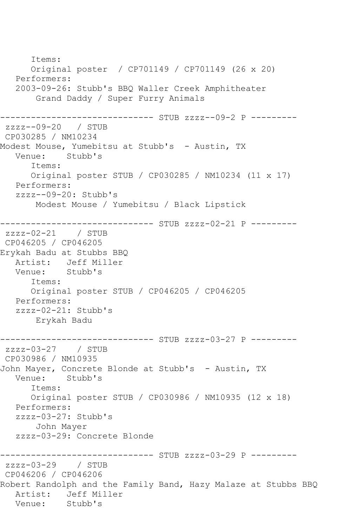Items: Original poster / CP701149 / CP701149 (26 x 20) Performers: 2003-09-26: Stubb's BBQ Waller Creek Amphitheater Grand Daddy / Super Furry Animals ------------------------------ STUB zzzz--09-2 P -------- zzzz--09-20 / STUB CP030285 / NM10234 Modest Mouse, Yumebitsu at Stubb's – Austin, TX<br>Venue: Stubb's Stubb's Items: Original poster STUB / CP030285 / NM10234 (11 x 17) Performers: zzzz--09-20: Stubb's Modest Mouse / Yumebitsu / Black Lipstick ------------------------------ STUB zzzz-02-21 P -------- zzzz-02-21 / STUB CP046205 / CP046205 Erykah Badu at Stubbs BBQ Artist: Jeff Miller<br>Venue: Stubb's Venue: Items: Original poster STUB / CP046205 / CP046205 Performers: zzzz-02-21: Stubb's Erykah Badu ------------------------------ STUB zzzz-03-27 P -------- zzzz-03-27 / STUB CP030986 / NM10935 John Mayer, Concrete Blonde at Stubb's - Austin, TX Stubb's Items: Original poster STUB / CP030986 / NM10935 (12 x 18) Performers: zzzz-03-27: Stubb's John Mayer zzzz-03-29: Concrete Blonde ------------------------------ STUB zzzz-03-29 P -------- zzzz-03-29 / STUB CP046206 / CP046206 Robert Randolph and the Family Band, Hazy Malaze at Stubbs BBQ Artist: Jeff Miller<br>Venue: Stubb's Venue: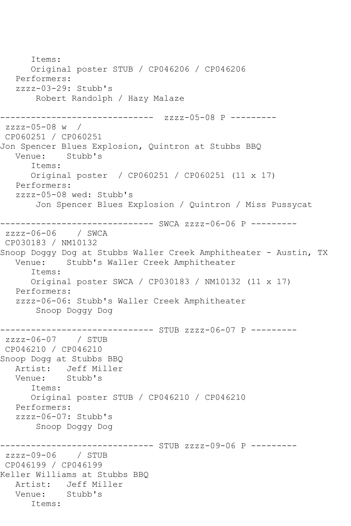```
 Items:
       Original poster STUB / CP046206 / CP046206
   Performers:
    zzzz-03-29: Stubb's
        Robert Randolph / Hazy Malaze
        ------------------------------ zzzz-05-08 P ---------
zzzz-05-08 w / 
CP060251 / CP060251
Jon Spencer Blues Explosion, Quintron at Stubbs BBQ<br>Venue: Stubb's
            Stubb's
       Items:
       Original poster / CP060251 / CP060251 (11 x 17)
   Performers:
    zzzz-05-08 wed: Stubb's
        Jon Spencer Blues Explosion / Quintron / Miss Pussycat
------------------------------ SWCA zzzz-06-06 P ---------
zzzz-06-06 / SWCA 
CP030183 / NM10132
Snoop Doggy Dog at Stubbs Waller Creek Amphitheater - Austin, TX
   Venue: Stubb's Waller Creek Amphitheater
       Items:
       Original poster SWCA / CP030183 / NM10132 (11 x 17)
    Performers:
    zzzz-06-06: Stubb's Waller Creek Amphitheater
        Snoop Doggy Dog
                      ------------------------------ STUB zzzz-06-07 P ---------
zzzz-06-07 / STUB 
CP046210 / CP046210
Snoop Dogg at Stubbs BBQ
  Artist: Jeff Miller<br>Venue: Stubb's
            Stubb's
       Items:
       Original poster STUB / CP046210 / CP046210
   Performers:
    zzzz-06-07: Stubb's
        Snoop Doggy Dog
               ---------------- STUB zzzz-09-06 P ---------<br>/ STUB
zzzz-09-06CP046199 / CP046199
Keller Williams at Stubbs BBQ
   Artist: Jeff Miller
   Venue: Stubb's
       Items:
```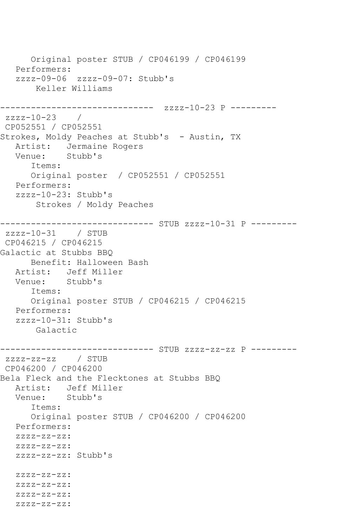```
 Original poster STUB / CP046199 / CP046199
   Performers:
   zzzz-09-06 zzzz-09-07: Stubb's
       Keller Williams
------------------------------ zzzz-10-23 P ---------
zzzz-10-23 / 
CP052551 / CP052551
Strokes, Moldy Peaches at Stubb's - Austin, TX
   Artist: Jermaine Rogers
   Venue: Stubb's
      Items:
      Original poster / CP052551 / CP052551
   Performers:
   zzzz-10-23: Stubb's
       Strokes / Moldy Peaches
------------------------------ STUB zzzz-10-31 P ---------
zzzz-10-31 / STUB 
CP046215 / CP046215
Galactic at Stubbs BBQ
      Benefit: Halloween Bash
   Artist: Jeff Miller
   Venue: Stubb's
      Items:
      Original poster STUB / CP046215 / CP046215
   Performers:
   zzzz-10-31: Stubb's
       Galactic
------------------------------ STUB zzzz-zz-zz P ---------
zzzz-zz-zz / STUB 
CP046200 / CP046200
Bela Fleck and the Flecktones at Stubbs BBQ
   Artist: Jeff Miller
   Venue: Stubb's
      Items:
      Original poster STUB / CP046200 / CP046200
   Performers:
  ZZZZ-ZZ-ZZ:
  ZZZZ-ZZ-ZZ:
   zzzz-zz-zz: Stubb's
   zzzz-zz-zz:
   zzzz-zz-zz:
   zzzz-zz-zz:
   zzzz-zz-zz:
```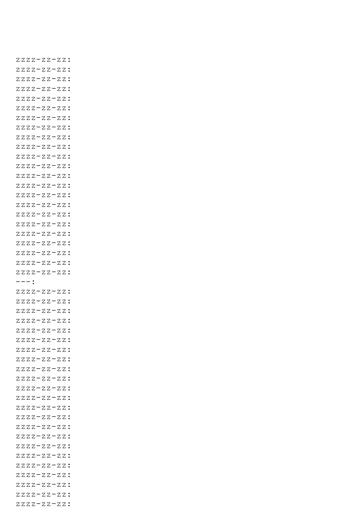```
 zzzz-zz-zz:
 zzzz-zz-zz:
 zzzz-zz-zz:
 zzzz-zz-zz:
 zzzz-zz-zz:
 zzzz-zz-zz:
 zzzz-zz-zz:
 zzzz-zz-zz:
 zzzz-zz-zz:
 zzzz-zz-zz:
ZZZZ-ZZ-ZZ:
 zzzz-zz-zz:
 zzzz-zz-zz:
 zzzz-zz-zz:
 zzzz-zz-zz:
 zzzz-zz-zz:
 zzzz-zz-zz:
 zzzz-zz-zz:
 zzzz-zz-zz:
 zzzz-zz-zz:
 zzzz-zz-zz:
 zzzz-zz-zz:
 zzzz-zz-zz:
 ---:
 zzzz-zz-zz:
 zzzz-zz-zz:
 zzzz-zz-zz:
 zzzz-zz-zz:
 zzzz-zz-zz:
 zzzz-zz-zz:
 zzzz-zz-zz:
 zzzz-zz-zz:
ZZZZ-ZZ-ZZ:
 zzzz-zz-zz:
 zzzz-zz-zz:
 zzzz-zz-zz:
 zzzz-zz-zz:
 zzzz-zz-zz:
 zzzz-zz-zz:
 zzzz-zz-zz:
 zzzz-zz-zz:
 zzzz-zz-zz:
 zzzz-zz-zz:
 zzzz-zz-zz:
 zzzz-zz-zz:
 zzzz-zz-zz:
 zzzz-zz-zz:
```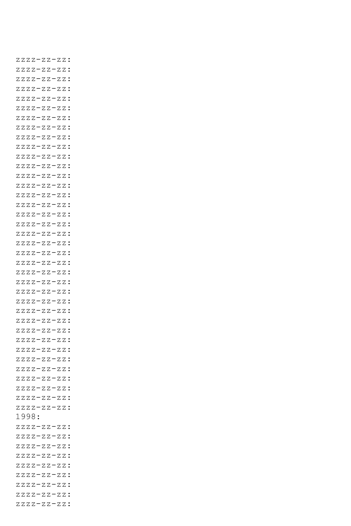zzzz-zz-zz: zzzz-zz-zz: zzzz-zz-zz: zzzz-zz-zz: zzzz-zz-zz: zzzz-zz-zz: zzzz-zz-zz: zzzz-zz-zz: zzzz-zz-zz: zzzz-zz-zz: zzzz-zz-zz: zzzz-zz-zz: zzzz-zz-zz: zzzz-zz-zz: zzzz-zz-zz: zzzz-zz-zz: zzzz-zz-zz: zzzz-zz-zz: zzzz-zz-zz: zzzz-zz-zz: zzzz-zz-zz: zzzz-zz-zz: zzzz-zz-zz: zzzz-zz-zz: zzzz-zz-zz: zzzz-zz-zz: zzzz-zz-zz: zzzz-zz-zz: zzzz-zz-zz: zzzz-zz-zz: zzzz-zz-zz: zzzz-zz-zz:  $ZZZZ-ZZ-ZZ$ : zzzz-zz-zz: zzzz-zz-zz: zzzz-zz-zz: zzzz-zz-zz: 1998: zzzz-zz-zz: zzzz-zz-zz: zzzz-zz-zz: zzzz-zz-zz: zzzz-zz-zz: zzzz-zz-zz: zzzz-zz-zz: zzzz-zz-zz: zzzz-zz-zz: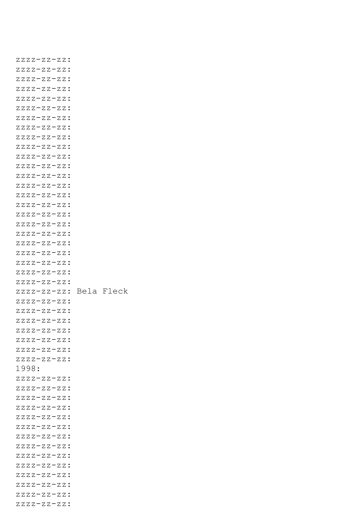```
 zzzz-zz-zz:
 zzzz-zz-zz:
 zzzz-zz-zz:
 zzzz-zz-zz:
ZZZZ-ZZ-ZZ:
 zzzz-zz-zz:
 zzzz-zz-zz:
 zzzz-zz-zz:
 zzzz-zz-zz:
 zzzz-zz-zz:
ZZZZ-ZZ-ZZ:
 zzzz-zz-zz:
 zzzz-zz-zz:
 zzzz-zz-zz:
 zzzz-zz-zz:
 zzzz-zz-zz:
 zzzz-zz-zz:
 zzzz-zz-zz:
 zzzz-zz-zz:
 zzzz-zz-zz:
 zzzz-zz-zz:
 zzzz-zz-zz:
 zzzz-zz-zz:
 zzzz-zz-zz:
 zzzz-zz-zz: Bela Fleck
ZZZZ-ZZ-ZZ:
 zzzz-zz-zz:
 zzzz-zz-zz:
 zzzz-zz-zz:
 zzzz-zz-zz:
 zzzz-zz-zz:
 zzzz-zz-zz:
 1998:
 zzzz-zz-zz:
 zzzz-zz-zz:
 zzzz-zz-zz:
 zzzz-zz-zz:
 zzzz-zz-zz:
 zzzz-zz-zz:
 zzzz-zz-zz:
 zzzz-zz-zz:
 zzzz-zz-zz:
 zzzz-zz-zz:
 zzzz-zz-zz:
 zzzz-zz-zz:
 zzzz-zz-zz:
 zzzz-zz-zz:
```